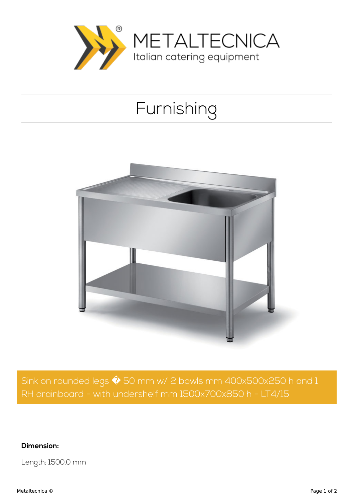

## Furnishing



Sink on rounded legs  $\hat{\blacklozenge}$  50 mm w/ 2 bowls mm 400x500x250 h and 1 RH drainboard - with undershelf mm 1500x700x850 h - LT4/15

**Dimension:**

Length: 1500.0 mm